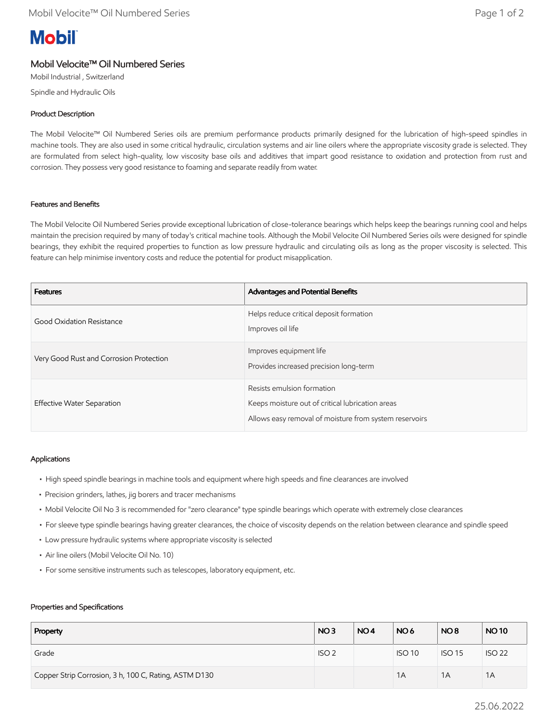# **Mobil**

# Mobil Velocite™ Oil Numbered Series

Mobil Industrial , Switzerland

Spindle and Hydraulic Oils

## Product Description

The Mobil Velocite™ Oil Numbered Series oils are premium performance products primarily designed for the lubrication of high-speed spindles in machine tools. They are also used in some critical hydraulic, circulation systems and air line oilers where the appropriate viscosity grade is selected. They are formulated from select high-quality, low viscosity base oils and additives that impart good resistance to oxidation and protection from rust and corrosion. They possess very good resistance to foaming and separate readily from water.

### Features and Benefits

The Mobil Velocite Oil Numbered Series provide exceptional lubrication of close-tolerance bearings which helps keep the bearings running cool and helps maintain the precision required by many of today's critical machine tools. Although the Mobil Velocite Oil Numbered Series oils were designed for spindle bearings, they exhibit the required properties to function as low pressure hydraulic and circulating oils as long as the proper viscosity is selected. This feature can help minimise inventory costs and reduce the potential for product misapplication.

| <b>Features</b>                         | Advantages and Potential Benefits                                                                                                        |
|-----------------------------------------|------------------------------------------------------------------------------------------------------------------------------------------|
| Good Oxidation Resistance               | Helps reduce critical deposit formation<br>Improves oil life                                                                             |
| Very Good Rust and Corrosion Protection | Improves equipment life<br>Provides increased precision long-term                                                                        |
| Effective Water Separation              | Resists emulsion formation<br>Keeps moisture out of critical lubrication areas<br>Allows easy removal of moisture from system reservoirs |

### Applications

- High speed spindle bearings in machine tools and equipment where high speeds and fine clearances are involved
- Precision grinders, lathes, jig borers and tracer mechanisms
- Mobil Velocite Oil No 3 is recommended for "zero clearance" type spindle bearings which operate with extremely close clearances
- For sleeve type spindle bearings having greater clearances, the choice of viscosity depends on the relation between clearance and spindle speed
- Low pressure hydraulic systems where appropriate viscosity is selected
- Air line oilers (Mobil Velocite Oil No. 10)
- For some sensitive instruments such as telescopes, laboratory equipment, etc.

#### Properties and Specifications

| Property                                              | NO <sub>3</sub>  | NO <sub>4</sub> | NO <sub>6</sub> | NO <sub>8</sub> | <b>NO10</b>   |
|-------------------------------------------------------|------------------|-----------------|-----------------|-----------------|---------------|
| Grade                                                 | ISO <sub>2</sub> |                 | <b>ISO 10</b>   | <b>ISO 15</b>   | <b>ISO 22</b> |
| Copper Strip Corrosion, 3 h, 100 C, Rating, ASTM D130 |                  |                 | 1A              | 1A              | 1A            |